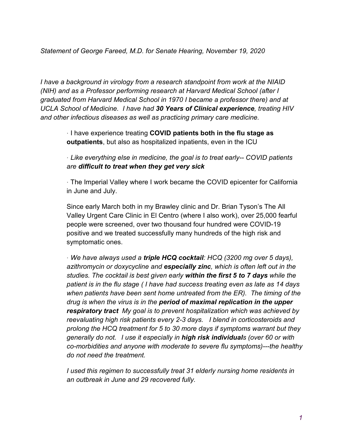*Statement of George Fareed, M.D. for Senate Hearing, November 19, 2020*

*I have a background in virology from a research standpoint from work at the NIAID (NIH) and as a Professor performing research at Harvard Medical School (after I graduated from Harvard Medical School in 1970 I became a professor there) and at UCLA School of Medicine. I have had 30 Years of Clinical experience, treating HIV and other infectious diseases as well as practicing primary care medicine.*

> · I have experience treating **COVID patients both in the flu stage as outpatients**, but also as hospitalized inpatients, even in the ICU

· *Like everything else in medicine, the goal is to treat early-- COVID patients are difficult to treat when they get very sick*

· The Imperial Valley where I work became the COVID epicenter for California in June and July.

Since early March both in my Brawley clinic and Dr. Brian Tyson's The All Valley Urgent Care Clinic in El Centro (where I also work), over 25,000 fearful people were screened, over two thousand four hundred were COVID-19 positive and we treated successfully many hundreds of the high risk and symptomatic ones.

· *We have always used a triple HCQ cocktail: HCQ (3200 mg over 5 days), azithromycin or doxycycline and especially zinc, which is often left out in the studies. The cocktail is best given early within the first 5 to 7 days while the patient is in the flu stage ( I have had success treating even as late as 14 days when patients have been sent home untreated from the ER). The timing of the drug is when the virus is in the period of maximal replication in the upper respiratory tract My goal is to prevent hospitalization which was achieved by reevaluating high risk patients every 2-3 days. I blend in corticosteroids and prolong the HCQ treatment for 5 to 30 more days if symptoms warrant but they generally do not. I use it especially in high risk individuals (over 60 or with co-morbidities and anyone with moderate to severe flu symptoms)---the healthy do not need the treatment.* 

*I* used this regimen to successfully treat 31 elderly nursing home residents in *an outbreak in June and 29 recovered fully.*